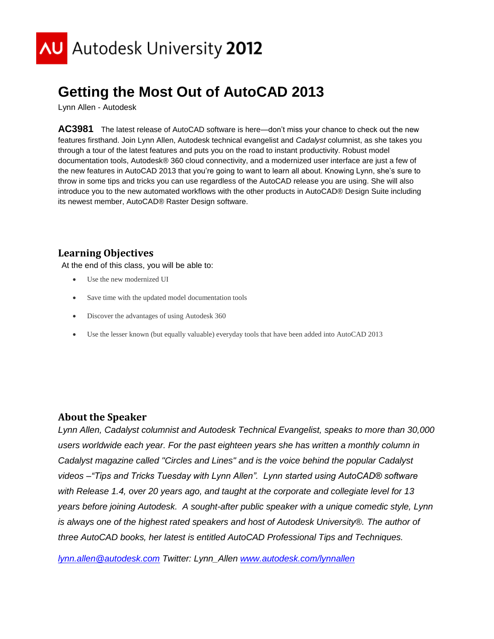

## **Getting the Most Out of AutoCAD 2013**

Lynn Allen - Autodesk

**AC3981** The latest release of AutoCAD software is here—don't miss your chance to check out the new features firsthand. Join Lynn Allen, Autodesk technical evangelist and *Cadalyst* columnist, as she takes you through a tour of the latest features and puts you on the road to instant productivity. Robust model documentation tools, Autodesk® 360 cloud connectivity, and a modernized user interface are just a few of the new features in AutoCAD 2013 that you're going to want to learn all about. Knowing Lynn, she's sure to throw in some tips and tricks you can use regardless of the AutoCAD release you are using. She will also introduce you to the new automated workflows with the other products in AutoCAD® Design Suite including its newest member, AutoCAD® Raster Design software.

## **Learning Objectives**

At the end of this class, you will be able to:

- Use the new modernized UI
- Save time with the updated model documentation tools
- Discover the advantages of using Autodesk 360
- Use the lesser known (but equally valuable) everyday tools that have been added into AutoCAD 2013

## **About the Speaker**

*Lynn Allen, Cadalyst columnist and Autodesk Technical Evangelist, speaks to more than 30,000 users worldwide each year. For the past eighteen years she has written a monthly column in Cadalyst magazine called "Circles and Lines" and is the voice behind the popular Cadalyst videos –"Tips and Tricks Tuesday with Lynn Allen". Lynn started using AutoCAD® software with Release 1.4, over 20 years ago, and taught at the corporate and collegiate level for 13 years before joining Autodesk. A sought-after public speaker with a unique comedic style, Lynn is always one of the highest rated speakers and host of Autodesk University®. The author of three AutoCAD books, her latest is entitled AutoCAD Professional Tips and Techniques.*

*[lynn.allen@autodesk.com](mailto:lynn.allen@autodesk.com) Twitter: Lynn\_Allen [www.autodesk.com/lynnallen](http://www.autodesk.com/lynnallen)*